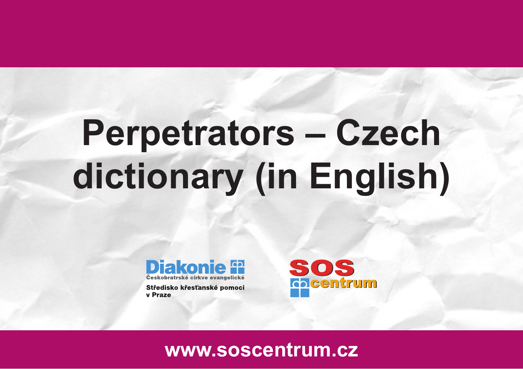

Středisko křesťanské pomoci v Praze

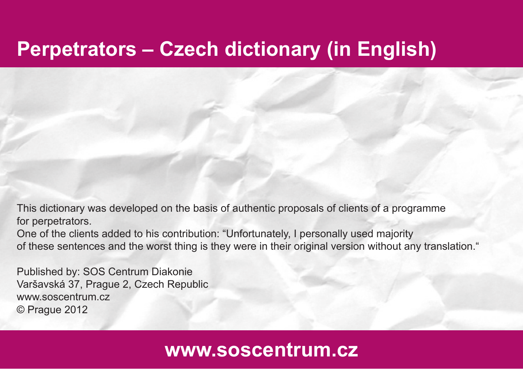This dictionary was developed on the basis of authentic proposals of clients of a programme for perpetrators.

One of the clients added to his contribution: "Unfortunately, I personally used majority of these sentences and the worst thing is they were in their original version without any translation."

Published by: SOS Centrum Diakonie Varšavská 37, Prague 2, Czech Republic www.soscentrum.cz © Prague 2012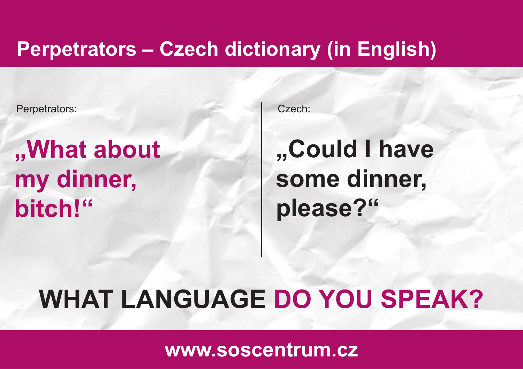Perpetrators: Czech:

## **"What about my dinner, bitch!"**

## **"Could I have some dinner, please?"**

#### **WHAT LANGUAGE DO YOU SPEAK?**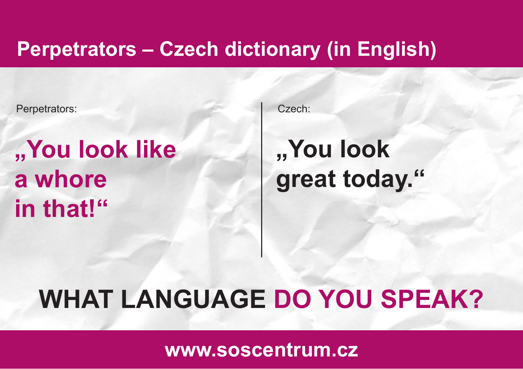Perpetrators: Czech:

## **"You look like a whore in that!"**

## **"You look great today."**

## **WHAT LANGUAGE DO YOU SPEAK?**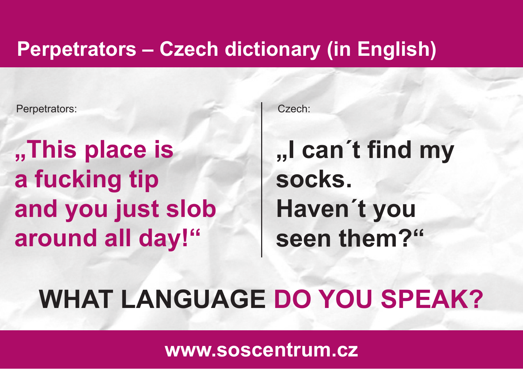Perpetrators: Czech:

**"This place is a fucking tip and you just slob around all day!"**

**"I can´t fi nd my socks. Haven´t you seen them?"**

### **WHAT LANGUAGE DO YOU SPEAK?**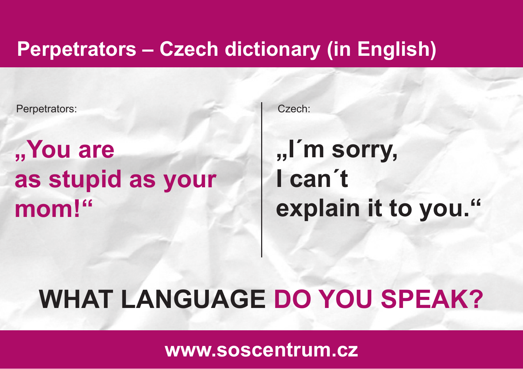Perpetrators: Czech:

**"You are as stupid as your mom!"**

**"I´m sorry, I can´t explain it to you."**

#### **WHAT LANGUAGE DO YOU SPEAK?**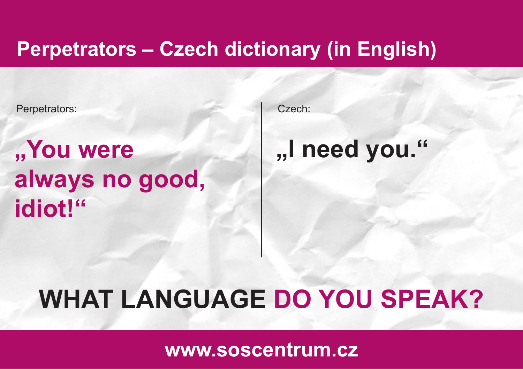Perpetrators: Czech:

## "You were **I have mediately were**  $\blacksquare$ **always no good, idiot!"**

## **WHAT LANGUAGE DO YOU SPEAK?**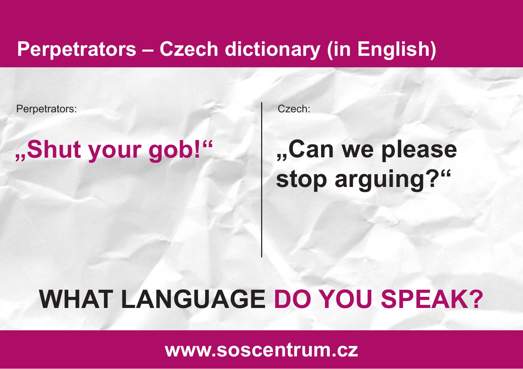Perpetrators: Czech:

#### **"Shut your gob!"**

## **"Can we please stop arguing?"**

#### **WHAT LANGUAGE DO YOU SPEAK?**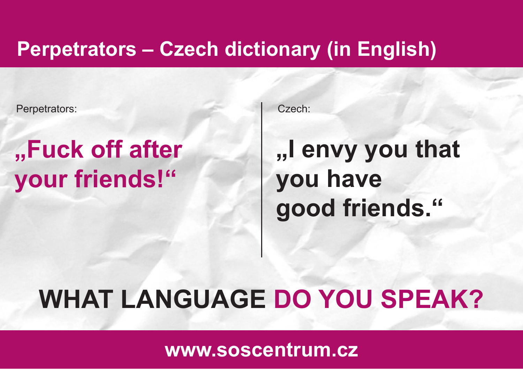Perpetrators: Czech:

## **"Fuck off after your friends!"**

## **"I envy you that you have good friends."**

#### **WHAT LANGUAGE DO YOU SPEAK?**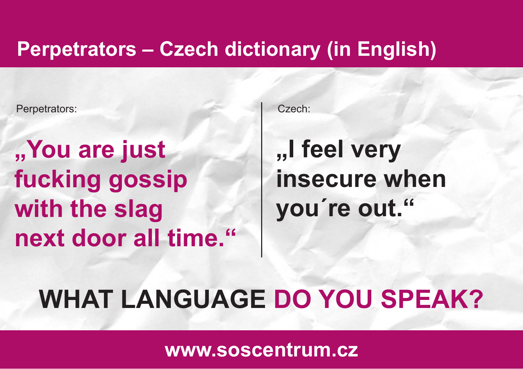Perpetrators: Czech:

**"You are just fucking gossip with the slag next door all time."**

## **"I feel very insecure when you´re out."**

#### **WHAT LANGUAGE DO YOU SPEAK?**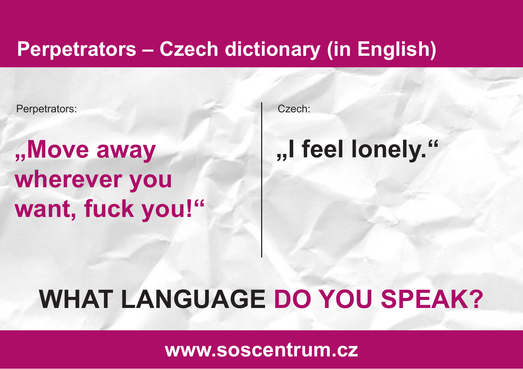Perpetrators: Czech:

**Move away See Allen, I feel lonely.** " **wherever you want, fuck you!"**

## **WHAT LANGUAGE DO YOU SPEAK?**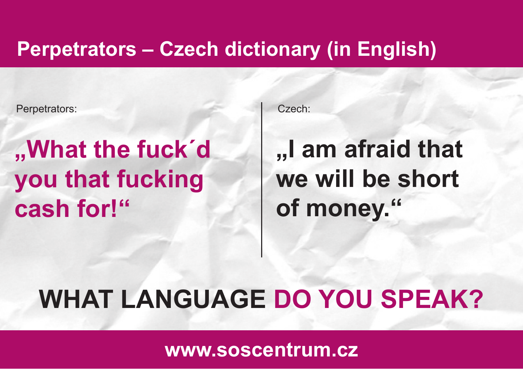Perpetrators: Czech:

## **"What the fuck´d you that fucking cash for!"**

## **"I am afraid that we will be short of money."**

#### **WHAT LANGUAGE DO YOU SPEAK?**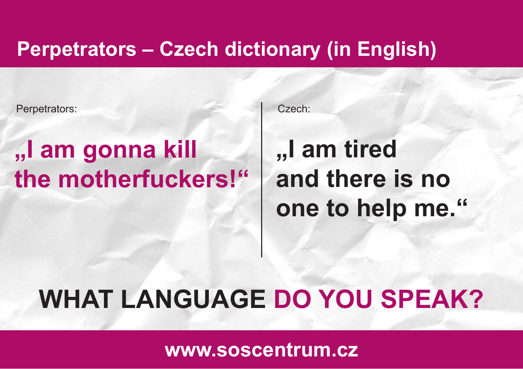Perpetrators: Czech:

## **"I am gonna kill the motherfuckers!"**

## **"I am tired and there is no one to help me."**

## **WHAT LANGUAGE DO YOU SPEAK?**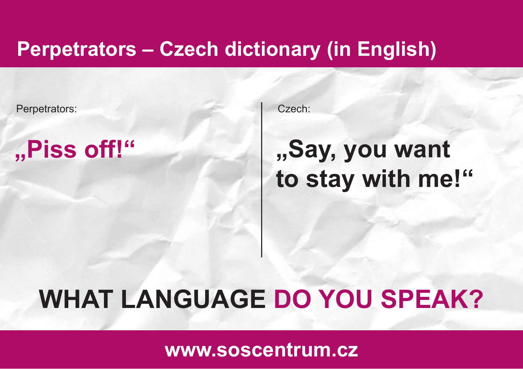Perpetrators: Czech:

**"Piss off!"**

#### **"Say, you want to stay with me!"**

#### **WHAT LANGUAGE DO YOU SPEAK?**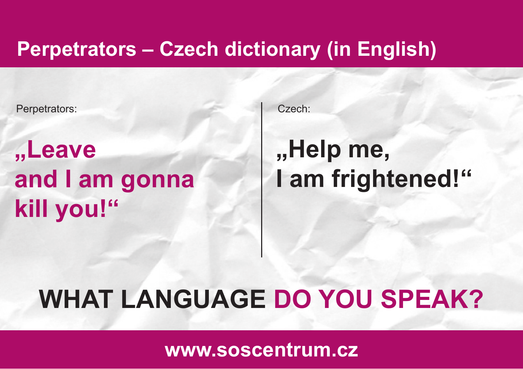Perpetrators: Czech:

**"Leave and I am gonna kill you!"**

## **"Help me, I am frightened!"**

#### **WHAT LANGUAGE DO YOU SPEAK?**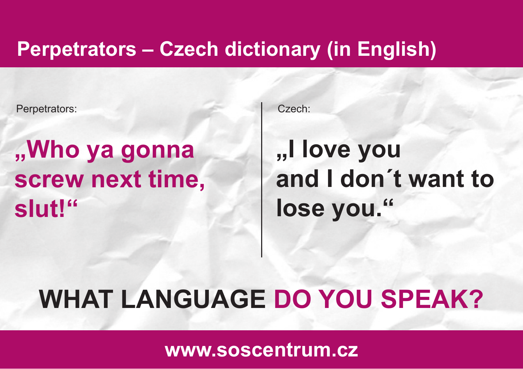Perpetrators: Czech:

#### **"Who ya gonna screw next time, slut!"**

## **"I love you and I don´t want to lose you."**

#### **WHAT LANGUAGE DO YOU SPEAK?**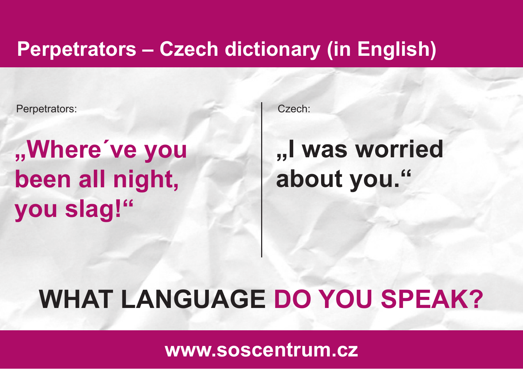Perpetrators: Czech:

## **"Where´ve you been all night, you slag!"**

## **"I was worried about you."**

#### **WHAT LANGUAGE DO YOU SPEAK?**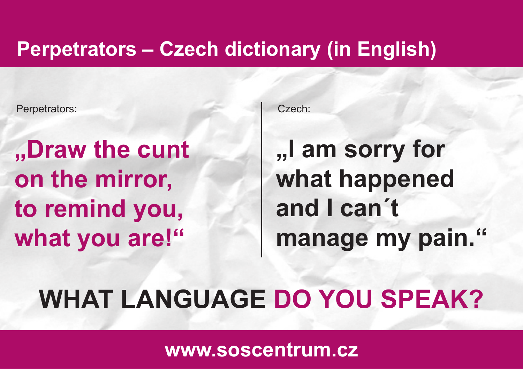Perpetrators: Czech:

**"Draw the cunt on the mirror, to remind you, what you are!"**

**"I am sorry for what happened and I can´t manage my pain."**

#### **WHAT LANGUAGE DO YOU SPEAK?**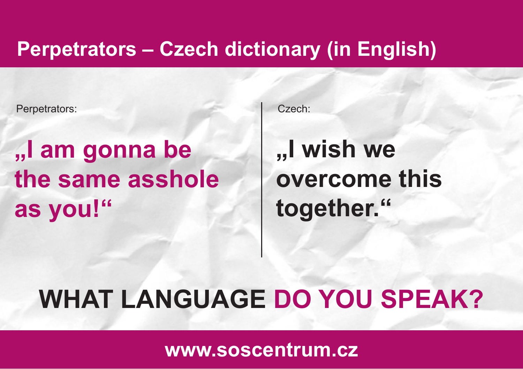Perpetrators: Czech:

## **"I am gonna be the same asshole as you!"**

## **"I wish we overcome this together."**

#### **WHAT LANGUAGE DO YOU SPEAK?**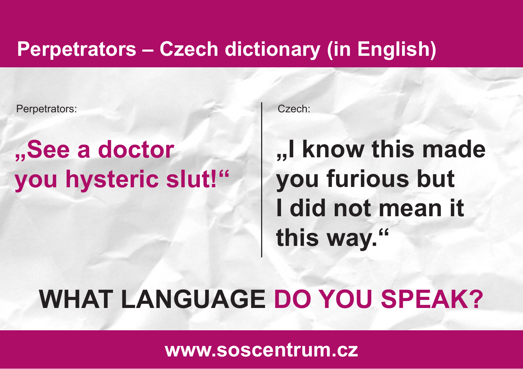Perpetrators: Czech:

## **"See a doctor you hysteric slut!"**

## **"I know this made you furious but I did not mean it this way."**

#### **WHAT LANGUAGE DO YOU SPEAK?**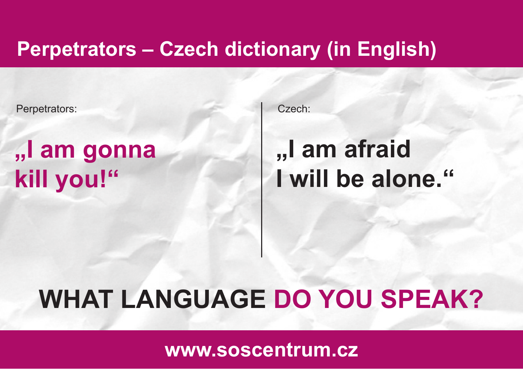Perpetrators: Czech:

## **"I am gonna kill you!"**

### **"I am afraid I will be alone."**

## **WHAT LANGUAGE DO YOU SPEAK?**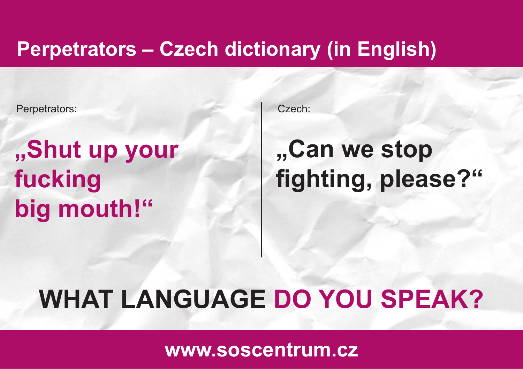Perpetrators: Czech:

## **"Shut up your fucking big mouth!"**

## **"Can we stop fi ghting, please?"**

#### **WHAT LANGUAGE DO YOU SPEAK?**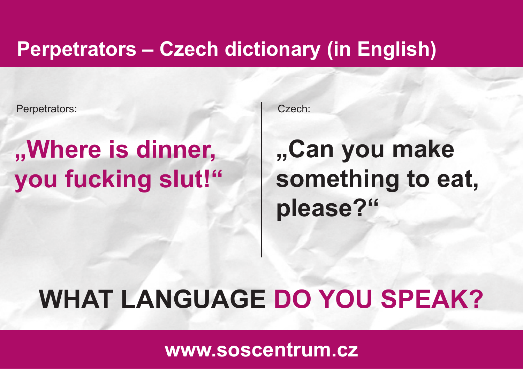Perpetrators: Czech:

## **"Where is dinner, you fucking slut!"**

## **"Can you make something to eat, please?"**

## **WHAT LANGUAGE DO YOU SPEAK?**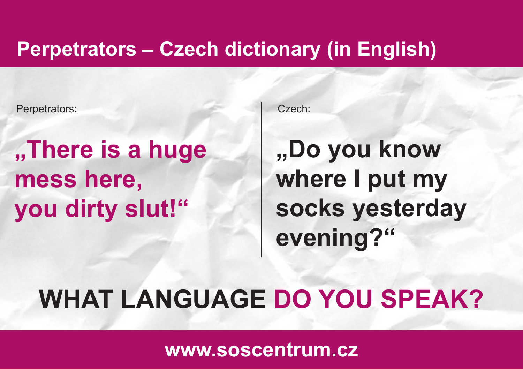Perpetrators: Czech:

## **"There is a huge mess here, you dirty slut!"**

**"Do you know where I put my socks yesterday evening?"**

#### **WHAT LANGUAGE DO YOU SPEAK?**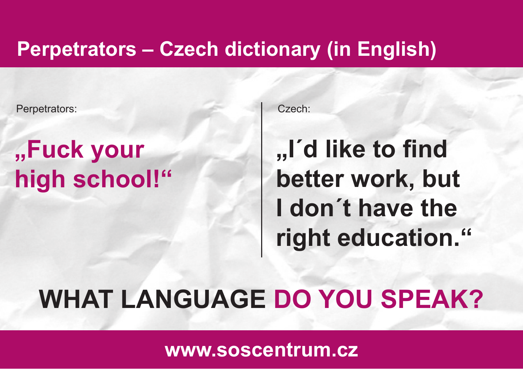Perpetrators: Czech:

## **"Fuck your high school!"**

**,, I'd like to find better work, but I don´t have the right education."**

#### **WHAT LANGUAGE DO YOU SPEAK?**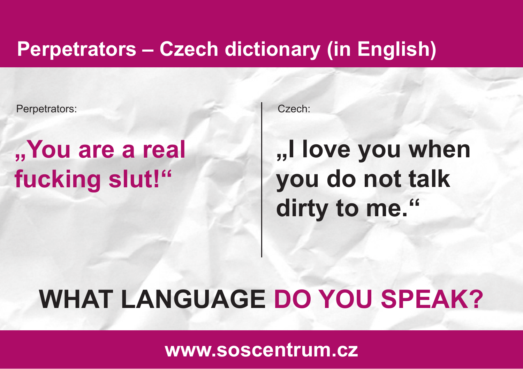Perpetrators: Czech:

## **"You are a real fucking slut!"**

## **"I love you when you do not talk dirty to me."**

#### **WHAT LANGUAGE DO YOU SPEAK?**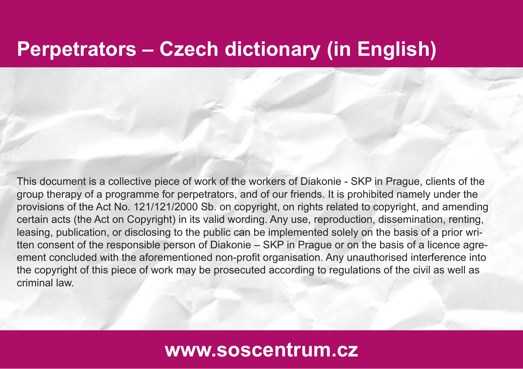This document is a collective piece of work of the workers of Diakonie - SKP in Prague, clients of the group therapy of a programme for perpetrators, and of our friends. It is prohibited namely under the provisions of the Act No. 121/121/2000 Sb. on copyright, on rights related to copyright, and amending certain acts (the Act on Copyright) in its valid wording. Any use, reproduction, dissemination, renting, leasing, publication, or disclosing to the public can be implemented solely on the basis of a prior written consent of the responsible person of Diakonie – SKP in Prague or on the basis of a licence agreement concluded with the aforementioned non-profit organisation. Any unauthorised interference into the copyright of this piece of work may be prosecuted according to regulations of the civil as well as criminal law.